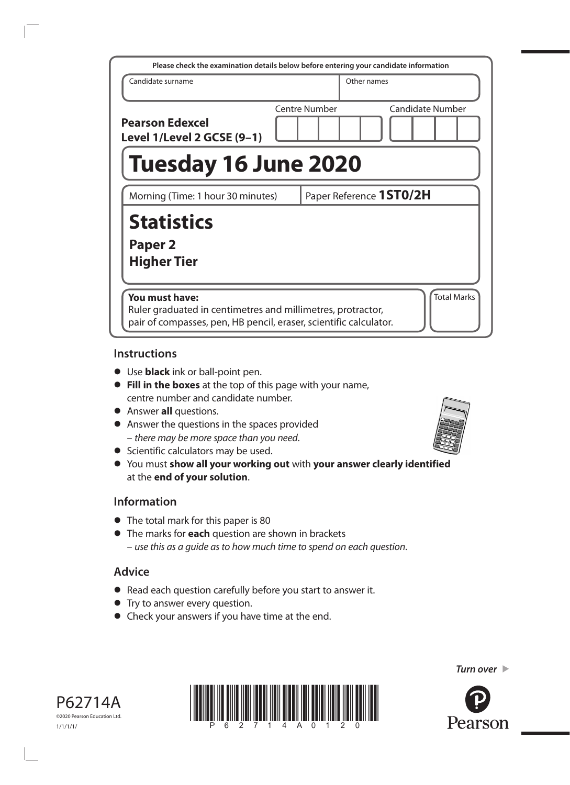| Please check the examination details below before entering your candidate information                                                                                    |  |                      |             |                         |
|--------------------------------------------------------------------------------------------------------------------------------------------------------------------------|--|----------------------|-------------|-------------------------|
| Candidate surname                                                                                                                                                        |  |                      | Other names |                         |
| <b>Pearson Edexcel</b><br>Level 1/Level 2 GCSE (9-1)                                                                                                                     |  | <b>Centre Number</b> |             | <b>Candidate Number</b> |
| <b>Tuesday 16 June 2020</b>                                                                                                                                              |  |                      |             |                         |
| Paper Reference 1ST0/2H<br>Morning (Time: 1 hour 30 minutes)                                                                                                             |  |                      |             |                         |
| <b>Statistics</b><br>Paper <sub>2</sub><br><b>Higher Tier</b>                                                                                                            |  |                      |             |                         |
| <b>Total Marks</b><br>You must have:<br>Ruler graduated in centimetres and millimetres, protractor,<br>pair of compasses, pen, HB pencil, eraser, scientific calculator. |  |                      |             |                         |

# **Instructions**

- **•** Use **black** ink or ball‑point pen.
- **• Fill in the boxes** at the top of this page with your name, centre number and candidate number.
- **•** Answer **all** questions.
- **•** Answer the questions in the spaces provided – *there may be more space than you need*.
- **•** Scientific calculators may be used.
- **•** You must **show all your working out** with **your answer clearly identified** at the **end of your solution**.

# **Information**

- The total mark for this paper is 80
- **•** The marks for **each** question are shown in brackets – *use this as a guide as to how much time to spend on each question*.

# **Advice**

- **•** Read each question carefully before you start to answer it.
- **•** Try to answer every question.
- **•** Check your answers if you have time at the end.







*Turn over* 

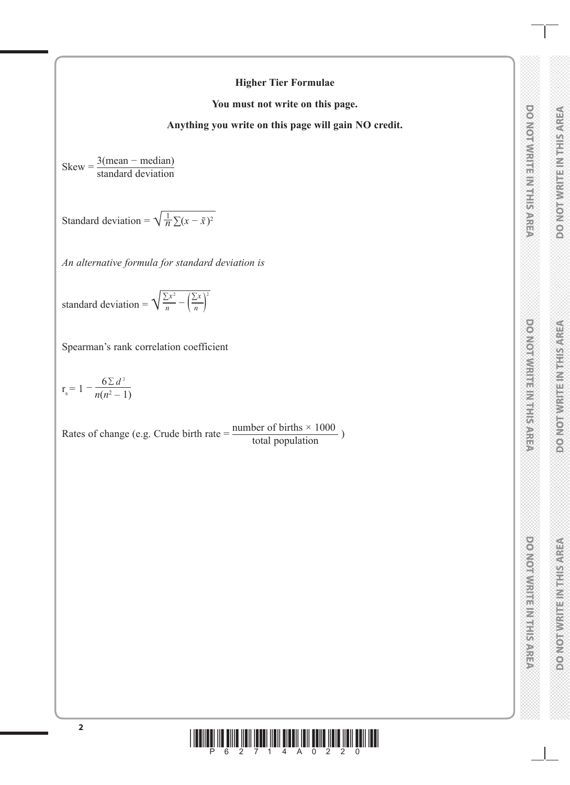# **DONOTWRITE MITHSAREA**

### **Higher Tier Formulae**

**You must not write on this page.**

**Anything you write on this page will gain NO credit.**

 $Skew = \frac{3(mean - median)}{1 + 1 + 1 + ...}$ standard deviation

Standard deviation =  $\sqrt{\frac{1}{n} \sum (x - \bar{x})^2}$ 

*An alternative formula for standard deviation is*

standard deviation =  $\sqrt{\frac{\sum x^2}{n}} - (\frac{\sum x}{n})^2$ )

Spearman's rank correlation coefficient

$$
r_{s} = 1 - \frac{6 \sum d^{2}}{n(n^{2} - 1)}
$$

Rates of change (e.g. Crude birth rate  $=$   $\frac{\text{number of births} \times 1000}{\text{total population}}$ )

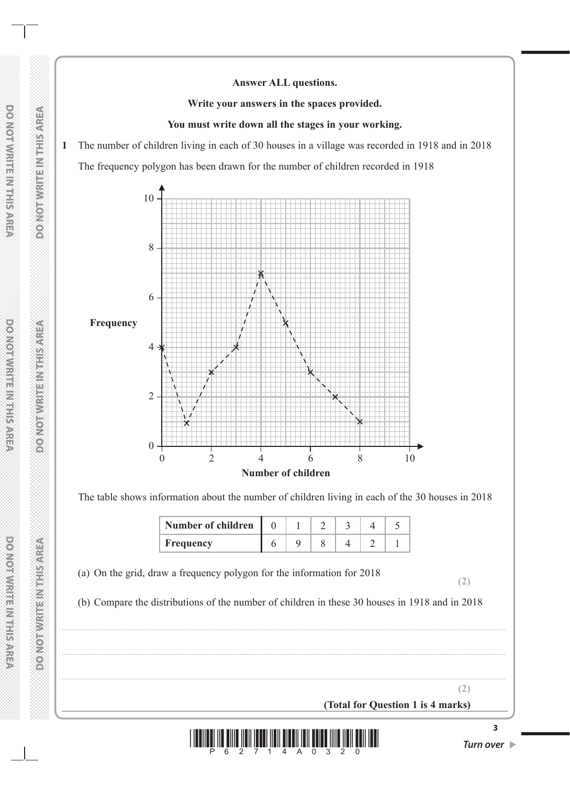### **Answer ALL questions.**

**Write your answers in the spaces provided.**

### **You must write down all the stages in your working.**

**1** The number of children living in each of 30 houses in a village was recorded in 1918 and in 2018 The frequency polygon has been drawn for the number of children recorded in 1918



The table shows information about the number of children living in each of the 30 houses in 2018

| <b>Number of children</b> |  |  |  |
|---------------------------|--|--|--|
| Frequency                 |  |  |  |

(a) On the grid, draw a frequency polygon for the information for 2018

(b) Compare the distributions of the number of children in these 30 houses in 1918 and in 2018

..................................................................................................................................................................................................................................................

..................................................................................................................................................................................................................................................

..................................................................................................................................................................................................................................................

\*P62714A0320\* *Turn over* 

**(Total for Question 1 is 4 marks)**

**(2)**

**(2)**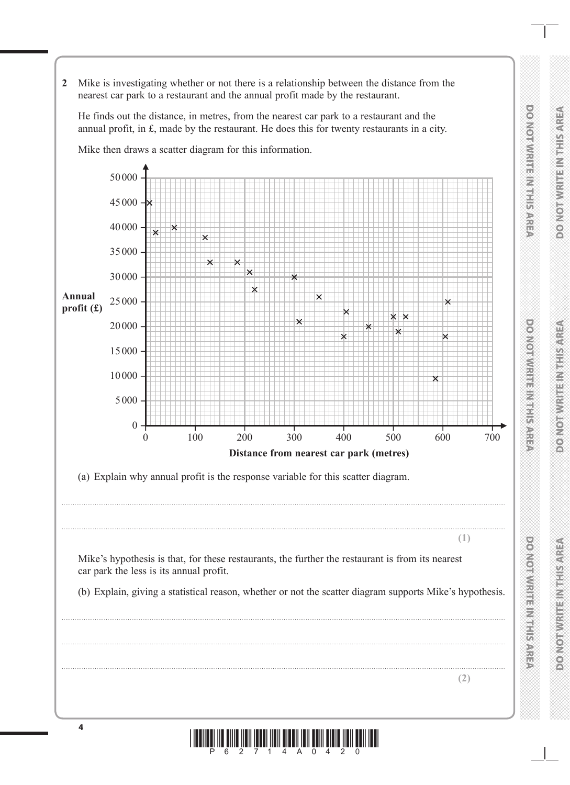**2** Mike is investigating whether or not there is a relationship between the distance from the nearest car park to a restaurant and the annual profit made by the restaurant.

He finds out the distance, in metres, from the nearest car park to a restaurant and the annual profit, in £, made by the restaurant. He does this for twenty restaurants in a city.

Mike then draws a scatter diagram for this information.

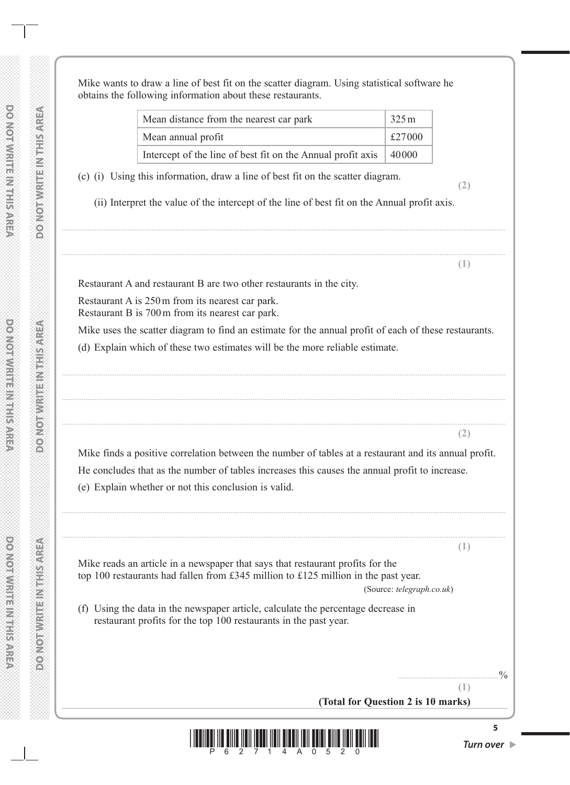**DOMOT WRITERWITERS** 

**DONOTAVE EN TENDER** 

Mike wants to draw a line of best fit on the scatter diagram. Using statistical software he obtains the following information about these restaurants.

| Mean distance from the nearest car park                                   | 325m   |  |
|---------------------------------------------------------------------------|--------|--|
| Mean annual profit                                                        | £27000 |  |
| Intercept of the line of best fit on the Annual profit axis $\vert$ 40000 |        |  |

(c) (i) Using this information, draw a line of best fit on the scatter diagram. **(2)**

(ii) Interpret the value of the intercept of the line of best fit on the Annual profit axis.

..................................................................................................................................................................................................................................................

..................................................................................................................................................................................................................................................

**(1)**

**(2)**

**(1)**

**(1)**

Restaurant A and restaurant B are two other restaurants in the city.

Restaurant A is 250m from its nearest car park. Restaurant B is 700m from its nearest car park.

Mike uses the scatter diagram to find an estimate for the annual profit of each of these restaurants.

..................................................................................................................................................................................................................................................

..................................................................................................................................................................................................................................................

..................................................................................................................................................................................................................................................

(d) Explain which of these two estimates will be the more reliable estimate.

Mike finds a positive correlation between the number of tables at a restaurant and its annual profit. He concludes that as the number of tables increases this causes the annual profit to increase.

..................................................................................................................................................................................................................................................

..................................................................................................................................................................................................................................................

(e) Explain whether or not this conclusion is valid.

Mike reads an article in a newspaper that says that restaurant profits for the top 100 restaurants had fallen from £345 million to £125 million in the past year. (Source: *telegraph.co.uk*)

(f) Using the data in the newspaper article, calculate the percentage decrease in restaurant profits for the top 100 restaurants in the past year.

.......................................................%

**(Total for Question 2 is 10 marks)**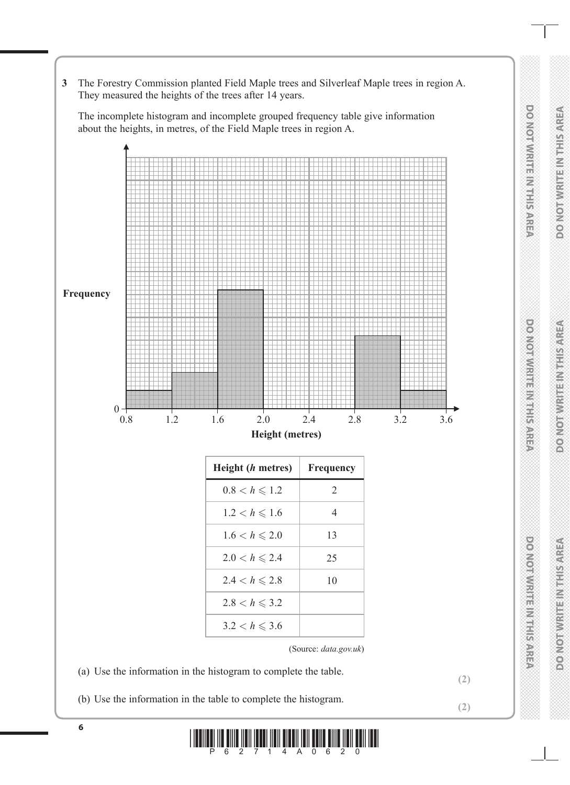**3** The Forestry Commission planted Field Maple trees and Silverleaf Maple trees in region A. They measured the heights of the trees after 14 years.

The incomplete histogram and incomplete grouped frequency table give information about the heights, in metres, of the Field Maple trees in region A.



(b) Use the information in the table to complete the histogram. **(2)**

 $\prod\limits_{i=1}^n\prod\limits_{i=1}^n\prod\limits_{j=1}^n\prod\limits_{j=1}^n\prod\limits_{j=1}^n\prod\limits_{j=1}^n\prod\limits_{j=1}^n\prod\limits_{j=1}^n\prod\limits_{j=1}^n\prod\limits_{j=1}^n\prod\limits_{j=1}^n\prod\limits_{j=1}^n\prod\limits_{j=1}^n\prod\limits_{j=1}^n\prod\limits_{j=1}^n\prod\limits_{j=1}^n\prod\limits_{j=1}^n\prod\limits_{j=1}^n\prod\limits_{j=1}^n\prod\limits_{j=1}^n$ 

DONOMINIUS NUTISARES

**DONORMENT IN LETS ARE** 

**DO NOT WRITE IN THIS AREA**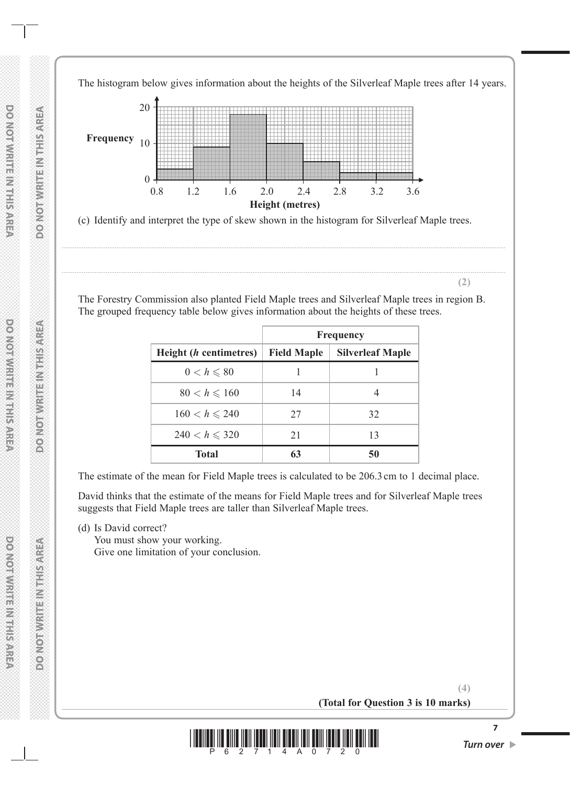The histogram below gives information about the heights of the Silverleaf Maple trees after 14 years.

20 10 0 0.8 **Height (metres) Frequency** 1.2 1.6 2.0 2.4 2.8 3.2 3.6

(c) Identify and interpret the type of skew shown in the histogram for Silverleaf Maple trees.

**(2)**

The Forestry Commission also planted Field Maple trees and Silverleaf Maple trees in region B. The grouped frequency table below gives information about the heights of these trees.

..................................................................................................................................................................................................................................................

..................................................................................................................................................................................................................................................

|                                | <b>Frequency</b>   |                         |  |
|--------------------------------|--------------------|-------------------------|--|
| Height ( <i>h</i> centimetres) | <b>Field Maple</b> | <b>Silverleaf Maple</b> |  |
| $0 < h \leqslant 80$           |                    |                         |  |
| $80 < h \le 160$               | 14                 |                         |  |
| $160 < h \le 240$              | 27                 | 32                      |  |
| $240 < h \le 320$              | 21                 | 13                      |  |
| <b>Total</b>                   | 63                 | 50                      |  |

The estimate of the mean for Field Maple trees is calculated to be 206.3cm to 1 decimal place.

David thinks that the estimate of the means for Field Maple trees and for Silverleaf Maple trees suggests that Field Maple trees are taller than Silverleaf Maple trees.

(d) Is David correct?

You must show your working. Give one limitation of your conclusion.

> **(4) (Total for Question 3 is 10 marks)**

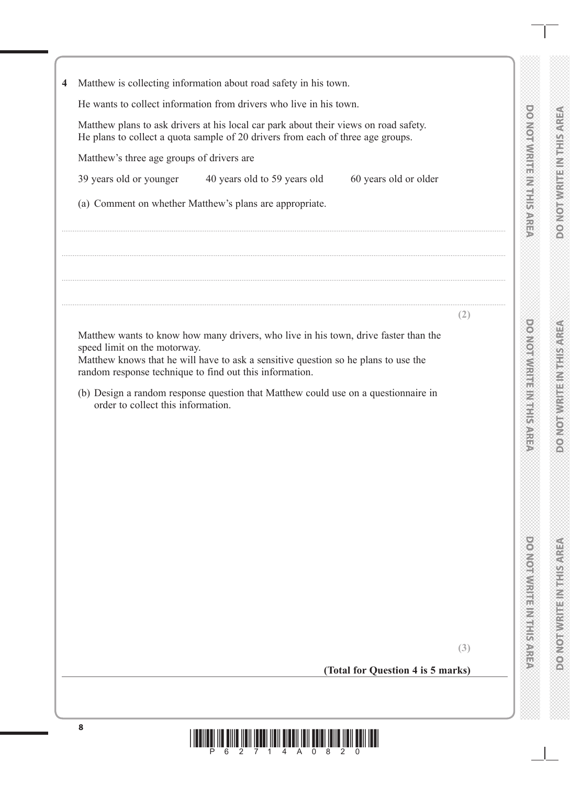| 4 | Matthew is collecting information about road safety in his town.                                                                                                                                                                                                     |     |
|---|----------------------------------------------------------------------------------------------------------------------------------------------------------------------------------------------------------------------------------------------------------------------|-----|
|   | He wants to collect information from drivers who live in his town.                                                                                                                                                                                                   |     |
|   |                                                                                                                                                                                                                                                                      |     |
|   | Matthew plans to ask drivers at his local car park about their views on road safety.<br>He plans to collect a quota sample of 20 drivers from each of three age groups.                                                                                              |     |
|   | Matthew's three age groups of drivers are                                                                                                                                                                                                                            |     |
|   | 39 years old or younger 40 years old to 59 years old<br>60 years old or older                                                                                                                                                                                        |     |
|   | (a) Comment on whether Matthew's plans are appropriate.                                                                                                                                                                                                              |     |
|   |                                                                                                                                                                                                                                                                      |     |
|   |                                                                                                                                                                                                                                                                      |     |
|   |                                                                                                                                                                                                                                                                      |     |
|   |                                                                                                                                                                                                                                                                      | (2) |
|   | Matthew wants to know how many drivers, who live in his town, drive faster than the<br>speed limit on the motorway.<br>Matthew knows that he will have to ask a sensitive question so he plans to use the<br>random response technique to find out this information. |     |
|   | (b) Design a random response question that Matthew could use on a questionnaire in<br>order to collect this information.                                                                                                                                             |     |
|   |                                                                                                                                                                                                                                                                      |     |
|   |                                                                                                                                                                                                                                                                      |     |
|   |                                                                                                                                                                                                                                                                      |     |
|   |                                                                                                                                                                                                                                                                      |     |
|   |                                                                                                                                                                                                                                                                      |     |
|   |                                                                                                                                                                                                                                                                      |     |
|   |                                                                                                                                                                                                                                                                      |     |
|   |                                                                                                                                                                                                                                                                      |     |
|   |                                                                                                                                                                                                                                                                      |     |
|   |                                                                                                                                                                                                                                                                      |     |
|   |                                                                                                                                                                                                                                                                      |     |
|   |                                                                                                                                                                                                                                                                      |     |
|   |                                                                                                                                                                                                                                                                      | (3) |
|   |                                                                                                                                                                                                                                                                      |     |

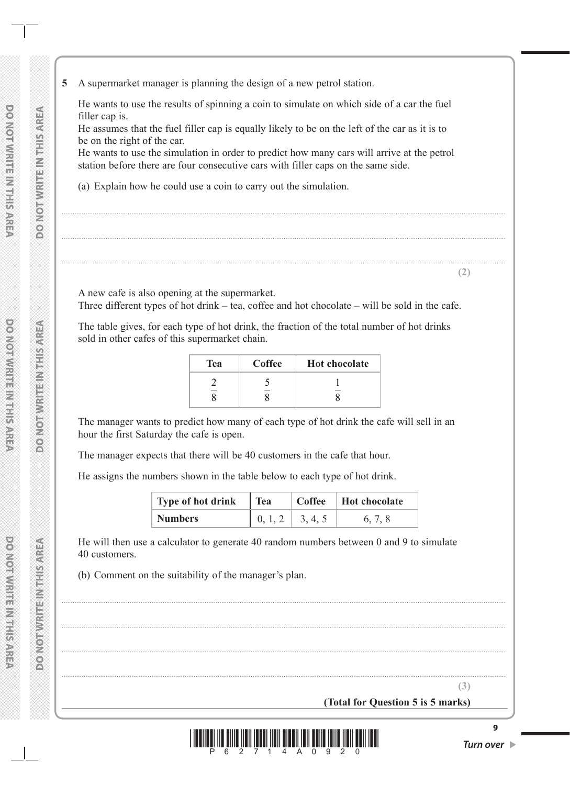**5** A supermarket manager is planning the design of a new petrol station.

He wants to use the results of spinning a coin to simulate on which side of a car the fuel filler cap is.

He assumes that the fuel filler cap is equally likely to be on the left of the car as it is to be on the right of the car.

He wants to use the simulation in order to predict how many cars will arrive at the petrol station before there are four consecutive cars with filler caps on the same side.

..................................................................................................................................................................................................................................................

..................................................................................................................................................................................................................................................

..................................................................................................................................................................................................................................................

(a) Explain how he could use a coin to carry out the simulation.

A new cafe is also opening at the supermarket. Three different types of hot drink – tea, coffee and hot chocolate – will be sold in the cafe.

The table gives, for each type of hot drink, the fraction of the total number of hot drinks sold in other cafes of this supermarket chain.

| <b>Tea</b> | Coffee | <b>Hot chocolate</b> |
|------------|--------|----------------------|
|            |        |                      |

The manager wants to predict how many of each type of hot drink the cafe will sell in an hour the first Saturday the cafe is open.

The manager expects that there will be 40 customers in the cafe that hour.

He assigns the numbers shown in the table below to each type of hot drink.

| Type of hot drink Tea |                                                                          | $\vert$ Coffee $\vert$ Hot chocolate |
|-----------------------|--------------------------------------------------------------------------|--------------------------------------|
| <b>Numbers</b>        | $\begin{array}{ c c c c c } \hline 0, 1, 2 & 3, 4, 5 \hline \end{array}$ | 6.7.8                                |

..................................................................................................................................................................................................................................................

..................................................................................................................................................................................................................................................

..................................................................................................................................................................................................................................................

..................................................................................................................................................................................................................................................

He will then use a calculator to generate 40 random numbers between 0 and 9 to simulate 40 customers.

(b) Comment on the suitability of the manager's plan.

**DONOTWRITE INTHIS AREA** 

**(3)**

**(2)**

**(Total for Question 5 is 5 marks)**

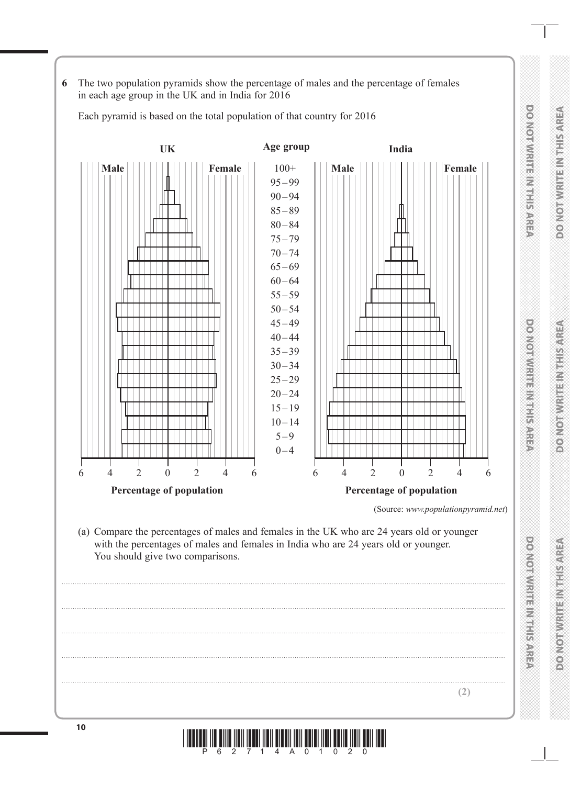**6** The two population pyramids show the percentage of males and the percentage of females in each age group in the UK and in India for 2016

Each pyramid is based on the total population of that country for 2016

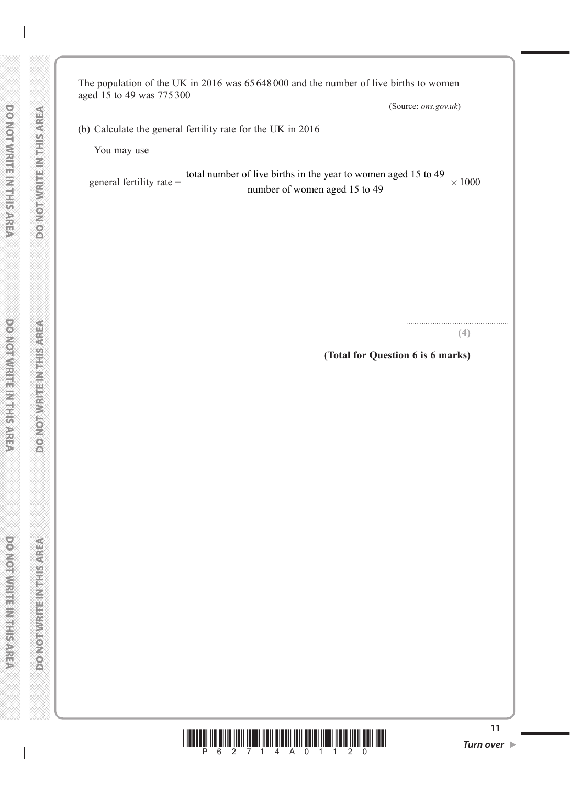The population of the UK in 2016 was 65 648000 and the number of live births to women aged 15 to 49 was 775 300

(Source: *ons.gov.uk*)

(b) Calculate the general fertility rate for the UK in 2016

You may use

general fertility rate = total number of live births in the year to women aged 15 to 49 number of women aged 15 to 49  $\times 1000$ 

**(4)**

.......................................................

**(Total for Question 6 is 6 marks)**

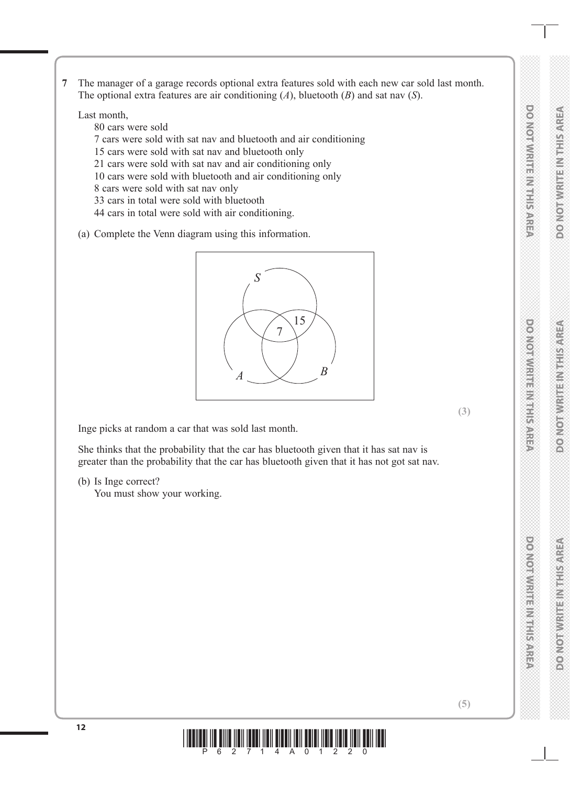**7** The manager of a garage records optional extra features sold with each new car sold last month. The optional extra features are air conditioning (*A*), bluetooth (*B*) and sat nav (*S*).

Last month,

- 80 cars were sold
- 7 cars were sold with sat nav and bluetooth and air conditioning
- 15 cars were sold with sat nav and bluetooth only
- 21 cars were sold with sat nav and air conditioning only
- 10 cars were sold with bluetooth and air conditioning only
- 8 cars were sold with sat nav only
- 33 cars in total were sold with bluetooth
- 44 cars in total were sold with air conditioning.
- (a) Complete the Venn diagram using this information.



Inge picks at random a car that was sold last month.

She thinks that the probability that the car has bluetooth given that it has sat nav is greater than the probability that the car has bluetooth given that it has not got sat nav.

(b) Is Inge correct?

You must show your working.



**(3)**

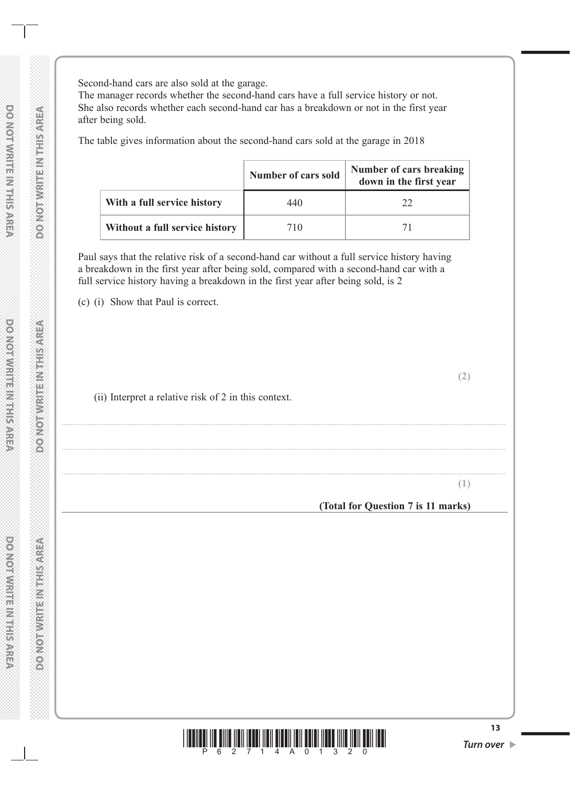Second-hand cars are also sold at the garage.

The manager records whether the second-hand cars have a full service history or not. She also records whether each second-hand car has a breakdown or not in the first year after being sold.

The table gives information about the second-hand cars sold at the garage in 2018

|                                | <b>Number of cars sold</b> | Number of cars breaking<br>down in the first year |  |  |
|--------------------------------|----------------------------|---------------------------------------------------|--|--|
| With a full service history    | 440                        | 22                                                |  |  |
| Without a full service history | 710                        | 71                                                |  |  |

..................................................................................................................................................................................................................................................

..................................................................................................................................................................................................................................................

..................................................................................................................................................................................................................................................

Paul says that the relative risk of a second-hand car without a full service history having a breakdown in the first year after being sold, compared with a second-hand car with a full service history having a breakdown in the first year after being sold, is 2

(c) (i) Show that Paul is correct.

(ii) Interpret a relative risk of 2 in this context.

**(1)**

**(2)**

**(Total for Question 7 is 11 marks)**

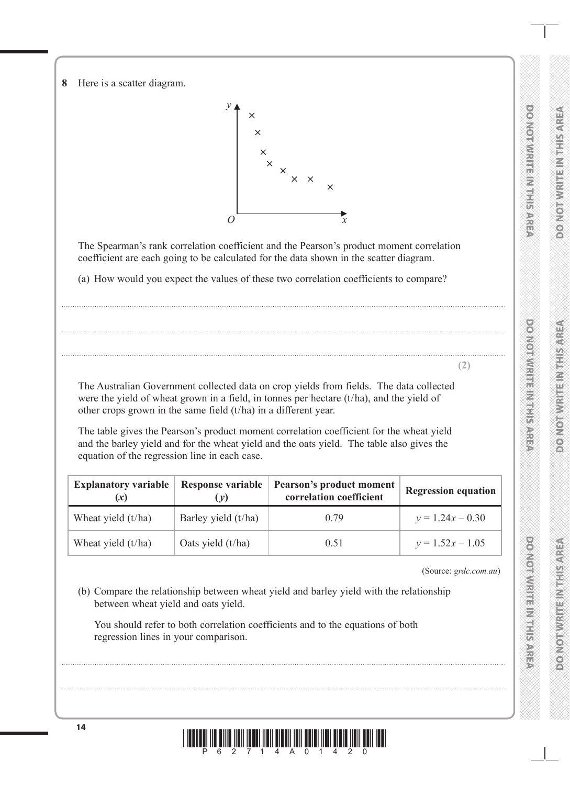**DOOMORAMERINGERS** 

**8** Here is a scatter diagram.



The Spearman's rank correlation coefficient and the Pearson's product moment correlation coefficient are each going to be calculated for the data shown in the scatter diagram.

..................................................................................................................................................................................................................................................

..................................................................................................................................................................................................................................................

..................................................................................................................................................................................................................................................

(a) How would you expect the values of these two correlation coefficients to compare?

The Australian Government collected data on crop yields from fields. The data collected were the yield of wheat grown in a field, in tonnes per hectare (t/ha), and the yield of other crops grown in the same field (t/ha) in a different year.

The table gives the Pearson's product moment correlation coefficient for the wheat yield and the barley yield and for the wheat yield and the oats yield. The table also gives the equation of the regression line in each case.

| <b>Explanatory variable</b> | <b>Response variable</b><br>(v) | Pearson's product moment<br>correlation coefficient | <b>Regression equation</b> |
|-----------------------------|---------------------------------|-----------------------------------------------------|----------------------------|
| Wheat yield $(t/ha)$        | Barley yield $(t/ha)$           | 0.79                                                | $v = 1.24x - 0.30$         |
| Wheat yield $(t/ha)$        | Oats yield $(t/ha)$             | 0.51                                                | $y = 1.52x - 1.05$         |

(Source: *grdc.com.au*)

**(2)**

(b) Compare the relationship between wheat yield and barley yield with the relationship between wheat yield and oats yield.

 You should refer to both correlation coefficients and to the equations of both regression lines in your comparison.



..................................................................................................................................................................................................................................................

..................................................................................................................................................................................................................................................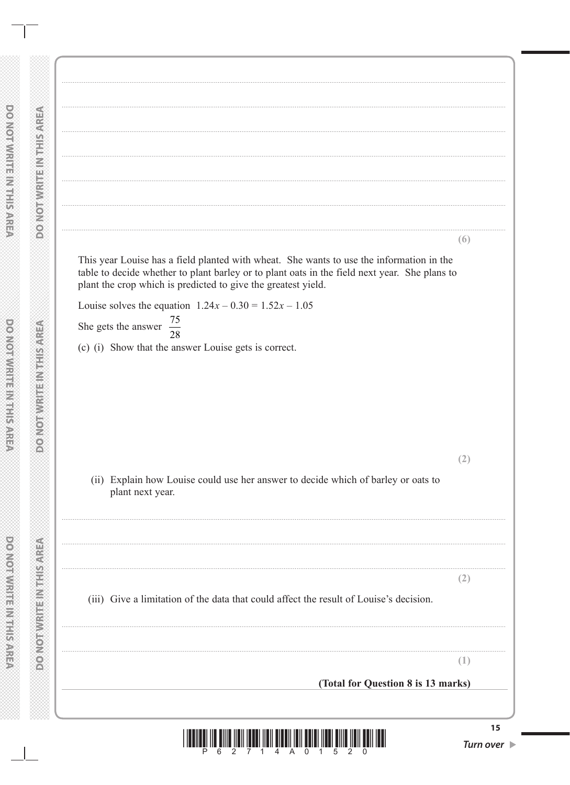**DONORWING NEWSFISS** 

**DOMOTHVRITEINATH SAREA** 

 $(6)$ This year Louise has a field planted with wheat. She wants to use the information in the table to decide whether to plant barley or to plant oats in the field next year. She plans to plant the crop which is predicted to give the greatest yield. Louise solves the equation  $1.24x - 0.30 = 1.52x - 1.05$ 75 She gets the answer  $\overline{28}$ (c) (i) Show that the answer Louise gets is correct.  $(2)$ (ii) Explain how Louise could use her answer to decide which of barley or oats to plant next year.  $(2)$ (iii) Give a limitation of the data that could affect the result of Louise's decision.  $(1)$ (Total for Question 8 is 13 marks)  $15$ 

 $\overline{2}$ 

4 A 0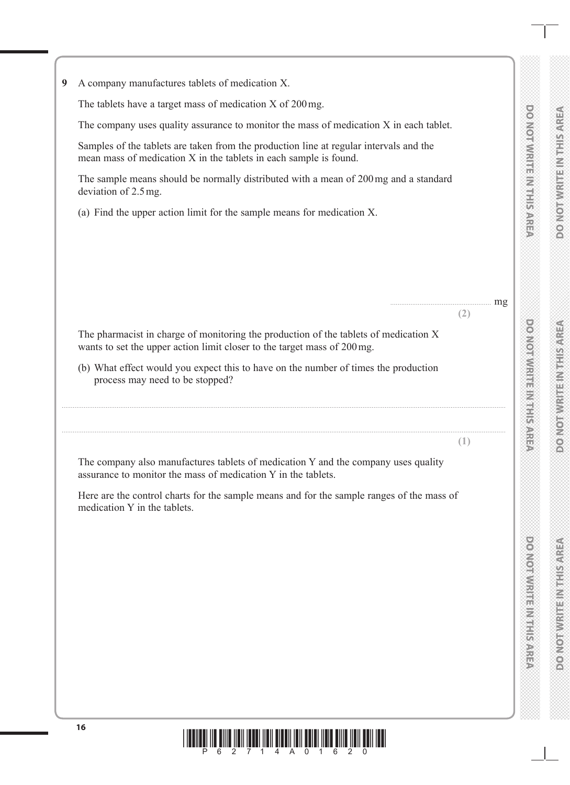**DOMORWATERN HUTSARISTS** 

....................................................... mg

**(2)**

**(1)**

**9** A company manufactures tablets of medication X.

The tablets have a target mass of medication X of 200mg.

The company uses quality assurance to monitor the mass of medication X in each tablet.

Samples of the tablets are taken from the production line at regular intervals and the mean mass of medication X in the tablets in each sample is found.

The sample means should be normally distributed with a mean of 200mg and a standard deviation of 2.5mg.

(a) Find the upper action limit for the sample means for medication X.

The pharmacist in charge of monitoring the production of the tablets of medication X wants to set the upper action limit closer to the target mass of 200mg.

(b) What effect would you expect this to have on the number of times the production process may need to be stopped?

..................................................................................................................................................................................................................................................

..................................................................................................................................................................................................................................................

The company also manufactures tablets of medication Y and the company uses quality assurance to monitor the mass of medication Y in the tablets.

Here are the control charts for the sample means and for the sample ranges of the mass of medication Y in the tablets.

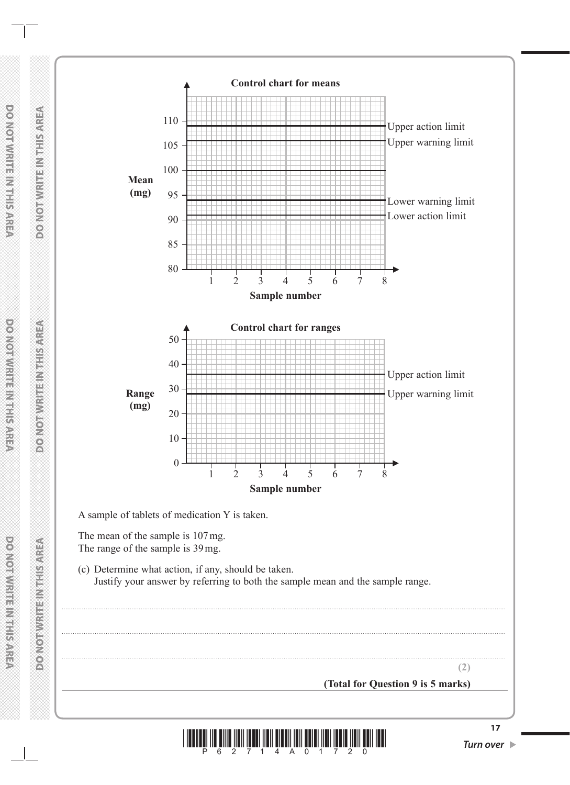

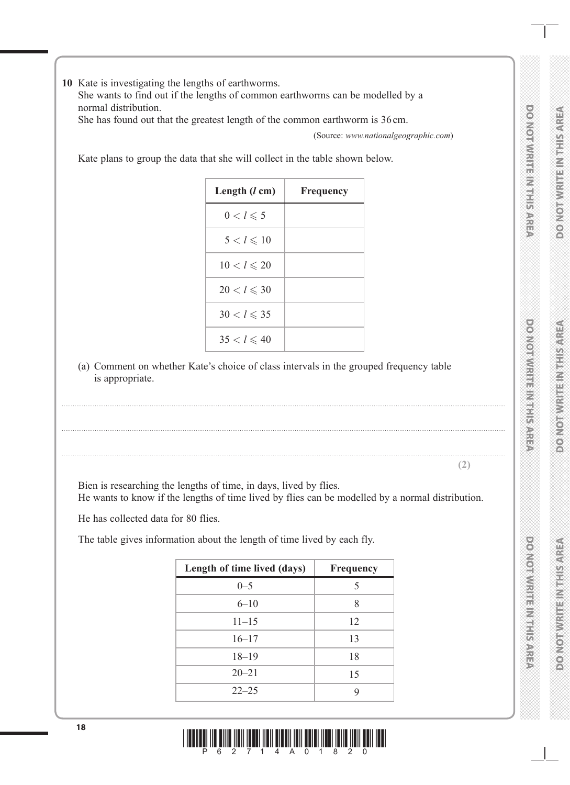**10** Kate is investigating the lengths of earthworms.

She wants to find out if the lengths of common earthworms can be modelled by a normal distribution.

She has found out that the greatest length of the common earthworm is 36 cm.

(Source: *www.nationalgeographic.com*)

..................................................................................................................................................................................................................................................

**(2)**

Kate plans to group the data that she will collect in the table shown below.

| Length $(l \text{ cm})$ | Frequency |
|-------------------------|-----------|
| $0 < l \leqslant 5$     |           |
| $5 < l \leqslant 10$    |           |
| $10 < l \le 20$         |           |
| $20 < l \leqslant 30$   |           |
| $30 < l \leqslant 35$   |           |
| $35 < l \leqslant 40$   |           |

(a) Comment on whether Kate's choice of class intervals in the grouped frequency table is appropriate.

..................................................................................................................................................................................................................................................

..................................................................................................................................................................................................................................................

Bien is researching the lengths of time, in days, lived by flies. He wants to know if the lengths of time lived by flies can be modelled by a normal distribution.

He has collected data for 80 flies.

The table gives information about the length of time lived by each fly.

| Length of time lived (days) | Frequency |
|-----------------------------|-----------|
| $0 - 5$                     | 5         |
| $6 - 10$                    | 8         |
| $11 - 15$                   | 12        |
| $16 - 17$                   | 13        |
| $18 - 19$                   | 18        |
| $20 - 21$                   | 15        |
| $22 - 25$                   | Q         |

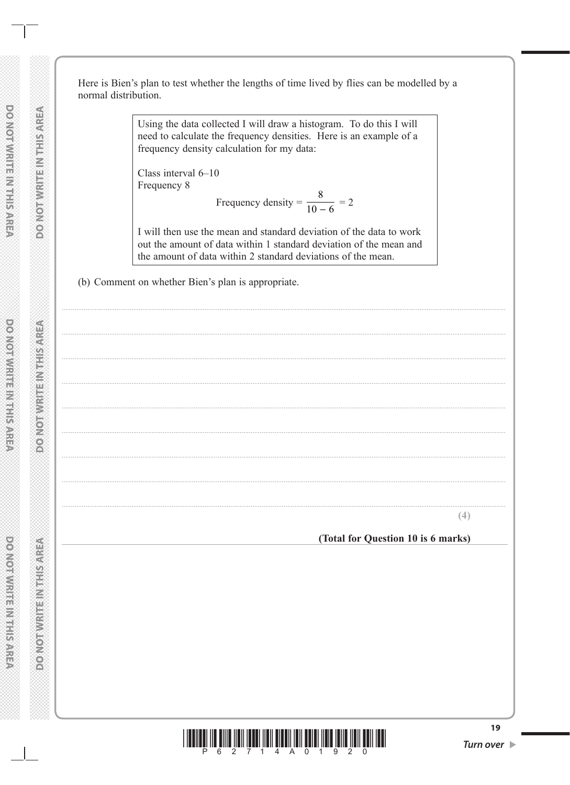Here is Bien's plan to test whether the lengths of time lived by flies can be modelled by a normal distribution.

> Using the data collected I will draw a histogram. To do this I will need to calculate the frequency densities. Here is an example of a frequency density calculation for my data:

Class interval 6-10 Frequency 8

Frequency density = 
$$
\frac{8}{10 - 6} = 2
$$

I will then use the mean and standard deviation of the data to work out the amount of data within 1 standard deviation of the mean and the amount of data within 2 standard deviations of the mean.

(b) Comment on whether Bien's plan is appropriate.

(Total for Question 10 is 6 marks)